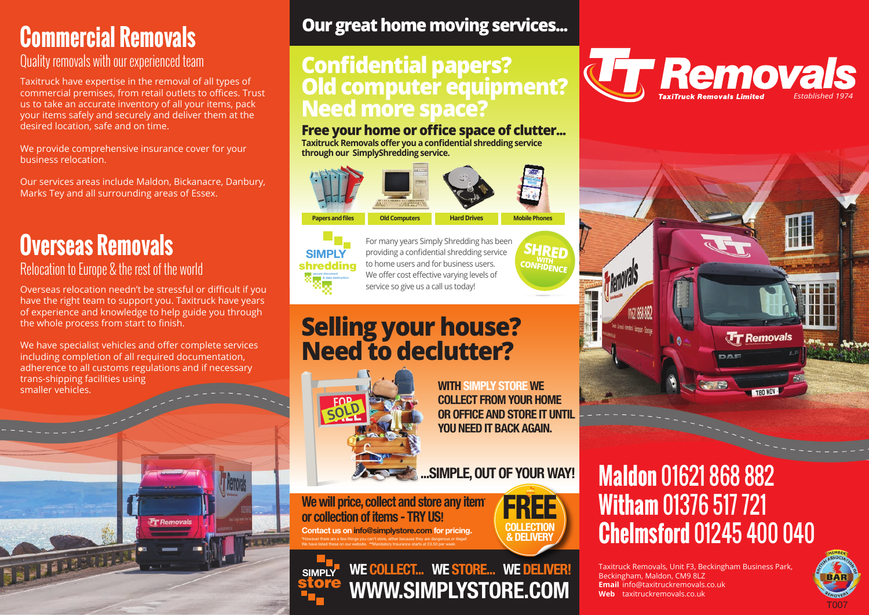# **Commercial Removals**

### Quality removals with our experienced team

Taxitruck have expertise in the removal of all types of commercial premises, from retail outlets to offices. Trust us to take an accurate inventory of all your items, pack your items safely and securely and deliver them at the desired location, safe and on time.

We provide comprehensive insurance cover for your business relocation.

Our services areas include Maldon, Bickanacre, Danbury, Marks Tey and all surrounding areas of Essex.

# **Overseas Removals**

**BATTASSER** 

Relocation to Europe & the rest of the world

Overseas relocation needn't be stressful or difficult if you have the right team to support you. Taxitruck have years of experience and knowledge to help guide you through the whole process from start to finish.

We have specialist vehicles and offer complete services including completion of all required documentation, adherence to all customs regulations and if necessary trans-shipping facilities using smaller vehicles.

**Tr** Removal:

## **Our great home moving services...**

## **Confidential papers? Old computer equipment? Need more space?**

### **Free your home or office space of clutter...**

**Taxitruck Removals offer you a confidential shredding service through our SimplyShredding service.**

# **Papers and files Old Computers Hard Drives Mobile Phones**

### **SIMPLY** shredding secure document & data destruction

For many years Simply Shredding has been providing a confidential shredding service to home users and for business users. We offer cost effective varying levels of service so give us a call us today!

# **Selling your house? Need to declutter?**



**WITH SIMPLY STORE WE COLLECT FROM YOUR HOME OR OFFICE AND STORE IT UNTIL YOU NEED IT BACK AGAIN.** 

**...SIMPLE, OUT OF YOUR WAY!**

**WE COLLECT... WE STORE... WE DELIVER!**

**WWW.SIMPLYSTORE.COM**

**We will price, collect and store any item\* or collection of items - TRY US! Contact us on info@simplystore.com for pricing. \***However there are a few things you can't store, either because they are dangerous or illegal!

We have listed these on our website. **\*\***Mandatory Insurance starts at £3.50 per week

**SIMPLY store** 



**SHRED CONFIDENCE** 

# **Maldon** 01621 868 882 **Witham** 01376 517 721 **Chelmsford** 01245 400 040

Taxitruck Removals, Unit F3, Beckingham Business Park, Beckingham, Maldon, CM9 8LZ **Email** info@taxitruckremovals.co.uk **Web** taxitruckremovals.co.uk